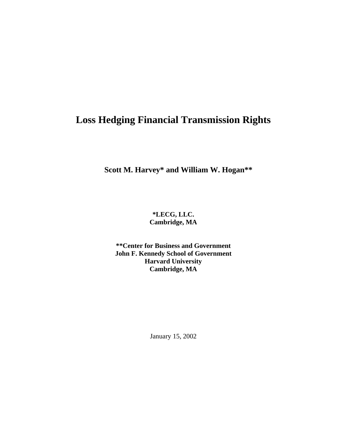# **Loss Hedging Financial Transmission Rights**

**Scott M. Harvey\* and William W. Hogan\*\***

**\*LECG, LLC. Cambridge, MA**

**\*\*Center for Business and Government John F. Kennedy School of Government Harvard University Cambridge, MA**

January 15, 2002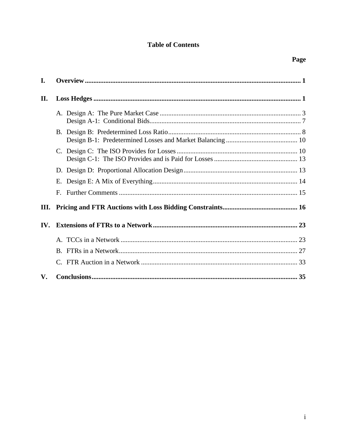# **Table of Contents**

| I.                     |    |  |
|------------------------|----|--|
| II.                    |    |  |
|                        |    |  |
|                        |    |  |
|                        |    |  |
|                        |    |  |
|                        | Е. |  |
|                        | F. |  |
|                        |    |  |
| $\mathbf{IV}_{\cdot}$  |    |  |
|                        |    |  |
|                        |    |  |
|                        |    |  |
| $\mathbf{V}_{\bullet}$ |    |  |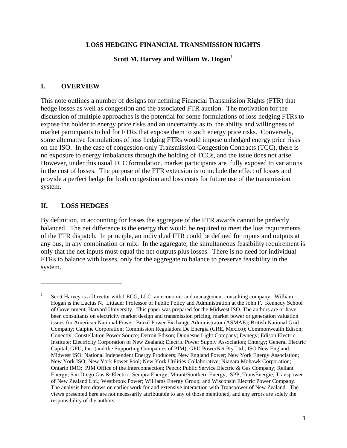#### **LOSS HEDGING FINANCIAL TRANSMISSION RIGHTS**

#### **Scott M. Harvey and William W. Hogan**<sup>1</sup>

#### **I. OVERVIEW**

This note outlines a number of designs for defining Financial Transmission Rights (FTR) that hedge losses as well as congestion and the associated FTR auction. The motivation for the discussion of multiple approaches is the potential for some formulations of loss hedging FTRs to expose the holder to energy price risks and an uncertainty as to the ability and willingness of market participants to bid for FTRs that expose them to such energy price risks. Conversely, some alternative formulations of loss hedging FTRs would impose unhedged energy price risks on the ISO. In the case of congestion-only Transmission Congestion Contracts (TCC), there is no exposure to energy imbalances through the holding of TCCs, and the issue does not arise. However, under this usual TCC formulation, market participants are fully exposed to variations in the cost of losses. The purpose of the FTR extension is to include the effect of losses and provide a perfect hedge for both congestion and loss costs for future use of the transmission system.

#### **II. LOSS HEDGES**

 $\overline{a}$ 

By definition, in accounting for losses the aggregate of the FTR awards cannot be perfectly balanced. The net difference is the energy that would be required to meet the loss requirements of the FTR dispatch. In principle, an individual FTR could be defined for inputs and outputs at any bus, in any combination or mix. In the aggregate, the simultaneous feasibility requirement is only that the net inputs must equal the net outputs plus losses. There is no need for individual FTRs to balance with losses, only for the aggregate to balance to preserve feasibility in the system.

<sup>1</sup> Scott Harvey is a Director with LECG, LLC, an economic and management consulting company. William Hogan is the Lucius N. Littauer Professor of Public Policy and Administration at the John F. Kennedy School of Government, Harvard University. This paper was prepared for the Midwest ISO. The authors are or have been consultants on electricity market design and transmission pricing, market power or generation valuation issues for American National Power; Brazil Power Exchange Administrator (ASMAE); British National Grid Company; Calpine Corporation; Commission Reguladora De Energia (CRE, Mexico); Commonwealth Edison; Conectiv; Constellation Power Source; Detroit Edison; Duquesne Light Company; Dynegy; Edison Electric Institute; Electricity Corporation of New Zealand; Electric Power Supply Association; Entergy; General Electric Capital; GPU, Inc. (and the Supporting Companies of PJM); GPU PowerNet Pty Ltd.; ISO New England; Midwest ISO; National Independent Energy Producers; New England Power; New York Energy Association; New York ISO; New York Power Pool; New York Utilities Collaborative; Niagara Mohawk Corporation; Ontario IMO; PJM Office of the Interconnection; Pepco; Public Service Electric & Gas Company; Reliant Energy; San Diego Gas & Electric; Sempra Energy; Mirant/Southern Energy; SPP; TransÉnergie; Transpower of New Zealand Ltd.; Westbrook Power; Williams Energy Group; and Wisconsin Electric Power Company. The analysis here draws on earlier work for and extensive interaction with Transpower of New Zealand. The views presented here are not necessarily attributable to any of those mentioned, and any errors are solely the responsibility of the authors.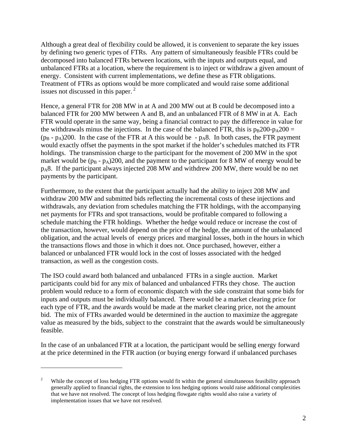Although a great deal of flexibility could be allowed, it is convenient to separate the key issues by defining two generic types of FTRs. Any pattern of simultaneously feasible FTRs could be decomposed into balanced FTRs between locations, with the inputs and outputs equal, and unbalanced FTRs at a location, where the requirement is to inject or withdraw a given amount of energy. Consistent with current implementations, we define these as FTR obligations. Treatment of FTRs as options would be more complicated and would raise some additional issues not discussed in this paper. $<sup>2</sup>$ </sup>

Hence, a general FTR for 208 MW in at A and 200 MW out at B could be decomposed into a balanced FTR for 200 MW between A and B, and an unbalanced FTR of 8 MW in at A. Each FTR would operate in the same way, being a financial contract to pay the difference in value for the withdrawals minus the injections. In the case of the balanced FTR, this is  $p_B 200-p_A 200 =$  $(p_B - p_A)200$ . In the case of the FTR at A this would be  $-p_A 8$ . In both cases, the FTR payment would exactly offset the payments in the spot market if the holder's schedules matched its FTR holdings. The transmission charge to the participant for the movement of 200 MW in the spot market would be  $(p_B - p_A)200$ , and the payment to the participant for 8 MW of energy would be pA8. If the participant always injected 208 MW and withdrew 200 MW, there would be no net payments by the participant.

Furthermore, to the extent that the participant actually had the ability to inject 208 MW and withdraw 200 MW and submitted bids reflecting the incremental costs of these injections and withdrawals, any deviation from schedules matching the FTR holdings, with the accompanying net payments for FTRs and spot transactions, would be profitable compared to following a schedule matching the FTR holdings. Whether the hedge would reduce or increase the cost of the transaction, however, would depend on the price of the hedge, the amount of the unbalanced obligation, and the actual levels of energy prices and marginal losses, both in the hours in which the transactions flows and those in which it does not. Once purchased, however, either a balanced or unbalanced FTR would lock in the cost of losses associated with the hedged transaction, as well as the congestion costs.

The ISO could award both balanced and unbalanced FTRs in a single auction. Market participants could bid for any mix of balanced and unbalanced FTRs they chose. The auction problem would reduce to a form of economic dispatch with the side constraint that some bids for inputs and outputs must be individually balanced. There would be a market clearing price for each type of FTR, and the awards would be made at the market clearing price, not the amount bid. The mix of FTRs awarded would be determined in the auction to maximize the aggregate value as measured by the bids, subject to the constraint that the awards would be simultaneously feasible.

In the case of an unbalanced FTR at a location, the participant would be selling energy forward at the price determined in the FTR auction (or buying energy forward if unbalanced purchases

 $\overline{a}$ 

While the concept of loss hedging FTR options would fit within the general simultaneous feasibility approach generally applied to financial rights, the extension to loss hedging options would raise additional complexities that we have not resolved. The concept of loss hedging flowgate rights would also raise a variety of implementation issues that we have not resolved.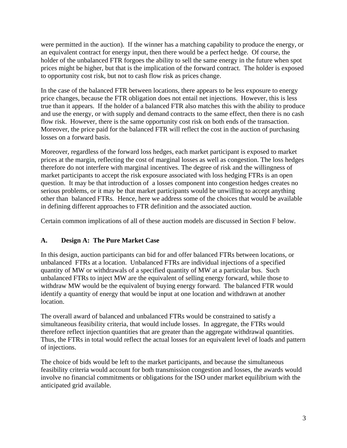were permitted in the auction). If the winner has a matching capability to produce the energy, or an equivalent contract for energy input, then there would be a perfect hedge. Of course, the holder of the unbalanced FTR forgoes the ability to sell the same energy in the future when spot prices might be higher, but that is the implication of the forward contract. The holder is exposed to opportunity cost risk, but not to cash flow risk as prices change.

In the case of the balanced FTR between locations, there appears to be less exposure to energy price changes, because the FTR obligation does not entail net injections. However, this is less true than it appears. If the holder of a balanced FTR also matches this with the ability to produce and use the energy, or with supply and demand contracts to the same effect, then there is no cash flow risk. However, there is the same opportunity cost risk on both ends of the transaction. Moreover, the price paid for the balanced FTR will reflect the cost in the auction of purchasing losses on a forward basis.

Moreover, regardless of the forward loss hedges, each market participant is exposed to market prices at the margin, reflecting the cost of marginal losses as well as congestion. The loss hedges therefore do not interfere with marginal incentives. The degree of risk and the willingness of market participants to accept the risk exposure associated with loss hedging FTRs is an open question. It may be that introduction of a losses component into congestion hedges creates no serious problems, or it may be that market participants would be unwilling to accept anything other than balanced FTRs. Hence, here we address some of the choices that would be available in defining different approaches to FTR definition and the associated auction.

Certain common implications of all of these auction models are discussed in Section F below.

#### **A. Design A: The Pure Market Case**

In this design, auction participants can bid for and offer balanced FTRs between locations, or unbalanced FTRs at a location. Unbalanced FTRs are individual injections of a specified quantity of MW or withdrawals of a specified quantity of MW at a particular bus. Such unbalanced FTRs to inject MW are the equivalent of selling energy forward, while those to withdraw MW would be the equivalent of buying energy forward. The balanced FTR would identify a quantity of energy that would be input at one location and withdrawn at another location.

The overall award of balanced and unbalanced FTRs would be constrained to satisfy a simultaneous feasibility criteria, that would include losses. In aggregate, the FTRs would therefore reflect injection quantities that are greater than the aggregate withdrawal quantities. Thus, the FTRs in total would reflect the actual losses for an equivalent level of loads and pattern of injections.

The choice of bids would be left to the market participants, and because the simultaneous feasibility criteria would account for both transmission congestion and losses, the awards would involve no financial commitments or obligations for the ISO under market equilibrium with the anticipated grid available.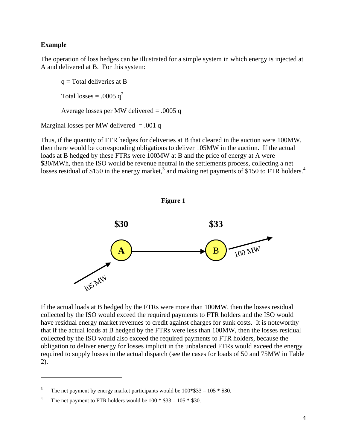#### **Example**

 $\overline{a}$ 

The operation of loss hedges can be illustrated for a simple system in which energy is injected at A and delivered at B. For this system:

 $q = Total$  deliveries at B Total losses = .0005  $q^2$ Average losses per MW delivered  $= .0005$  q Marginal losses per MW delivered  $= .001$  q

Thus, if the quantity of FTR hedges for deliveries at B that cleared in the auction were 100MW, then there would be corresponding obligations to deliver 105MW in the auction. If the actual loads at B hedged by these FTRs were 100MW at B and the price of energy at A were \$30/MWh, then the ISO would be revenue neutral in the settlements process, collecting a net losses residual of \$150 in the energy market,<sup>3</sup> and making net payments of \$150 to FTR holders.<sup>4</sup>



If the actual loads at B hedged by the FTRs were more than 100MW, then the losses residual collected by the ISO would exceed the required payments to FTR holders and the ISO would have residual energy market revenues to credit against charges for sunk costs. It is noteworthy that if the actual loads at B hedged by the FTRs were less than 100MW, then the losses residual collected by the ISO would also exceed the required payments to FTR holders, because the obligation to deliver energy for losses implicit in the unbalanced FTRs would exceed the energy required to supply losses in the actual dispatch (see the cases for loads of 50 and 75MW in Table 2).

<sup>&</sup>lt;sup>3</sup> The net payment by energy market participants would be  $100*\$33 - 105 * \$30$ .

<sup>&</sup>lt;sup>4</sup> The net payment to FTR holders would be  $100 * $33 - 105 * $30$ .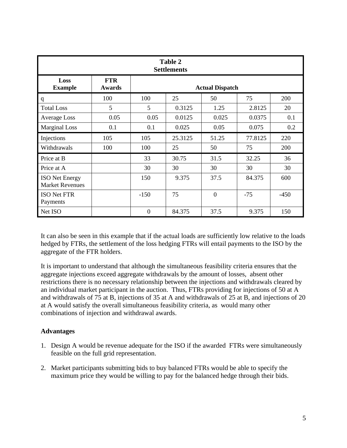| Table 2<br><b>Settlements</b>                   |                      |                |                        |                  |         |        |  |
|-------------------------------------------------|----------------------|----------------|------------------------|------------------|---------|--------|--|
| Loss<br><b>Example</b>                          | <b>FTR</b><br>Awards |                | <b>Actual Dispatch</b> |                  |         |        |  |
| q                                               | 100                  | 100            | 25                     | 50               | 75      | 200    |  |
| <b>Total Loss</b>                               | 5                    | 5              | 0.3125                 | 1.25             | 2.8125  | 20     |  |
| <b>Average Loss</b>                             | 0.05                 | 0.05           | 0.0125                 | 0.025            | 0.0375  | 0.1    |  |
| <b>Marginal Loss</b>                            | 0.1                  | 0.1            | 0.025                  | 0.05             | 0.075   | 0.2    |  |
| Injections                                      | 105                  | 105            | 25.3125                | 51.25            | 77.8125 | 220    |  |
| Withdrawals                                     | 100                  | 100            | 25                     | 50               | 75      | 200    |  |
| Price at B                                      |                      | 33             | 30.75                  | 31.5             | 32.25   | 36     |  |
| Price at A                                      |                      | 30             | 30                     | 30               | 30      | 30     |  |
| <b>ISO</b> Net Energy<br><b>Market Revenues</b> |                      | 150            | 9.375                  | 37.5             | 84.375  | 600    |  |
| <b>ISO Net FTR</b><br>Payments                  |                      | $-150$         | 75                     | $\boldsymbol{0}$ | $-75$   | $-450$ |  |
| Net ISO                                         |                      | $\overline{0}$ | 84.375                 | 37.5             | 9.375   | 150    |  |

It can also be seen in this example that if the actual loads are sufficiently low relative to the loads hedged by FTRs, the settlement of the loss hedging FTRs will entail payments to the ISO by the aggregate of the FTR holders.

It is important to understand that although the simultaneous feasibility criteria ensures that the aggregate injections exceed aggregate withdrawals by the amount of losses, absent other restrictions there is no necessary relationship between the injections and withdrawals cleared by an individual market participant in the auction. Thus, FTRs providing for injections of 50 at A and withdrawals of 75 at B, injections of 35 at A and withdrawals of 25 at B, and injections of 20 at A would satisfy the overall simultaneous feasibility criteria, as would many other combinations of injection and withdrawal awards.

# **Advantages**

- 1. Design A would be revenue adequate for the ISO if the awarded FTRs were simultaneously feasible on the full grid representation.
- 2. Market participants submitting bids to buy balanced FTRs would be able to specify the maximum price they would be willing to pay for the balanced hedge through their bids.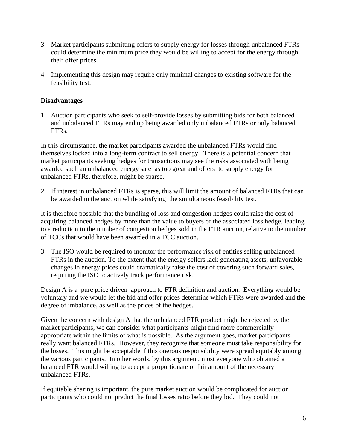- 3. Market participants submitting offers to supply energy for losses through unbalanced FTRs could determine the minimum price they would be willing to accept for the energy through their offer prices.
- 4. Implementing this design may require only minimal changes to existing software for the feasibility test.

#### **Disadvantages**

1. Auction participants who seek to self-provide losses by submitting bids for both balanced and unbalanced FTRs may end up being awarded only unbalanced FTRs or only balanced FTRs.

In this circumstance, the market participants awarded the unbalanced FTRs would find themselves locked into a long-term contract to sell energy. There is a potential concern that market participants seeking hedges for transactions may see the risks associated with being awarded such an unbalanced energy sale as too great and offers to supply energy for unbalanced FTRs, therefore, might be sparse.

2. If interest in unbalanced FTRs is sparse, this will limit the amount of balanced FTRs that can be awarded in the auction while satisfying the simultaneous feasibility test.

It is therefore possible that the bundling of loss and congestion hedges could raise the cost of acquiring balanced hedges by more than the value to buyers of the associated loss hedge, leading to a reduction in the number of congestion hedges sold in the FTR auction, relative to the number of TCCs that would have been awarded in a TCC auction.

3. The ISO would be required to monitor the performance risk of entities selling unbalanced FTRs in the auction. To the extent that the energy sellers lack generating assets, unfavorable changes in energy prices could dramatically raise the cost of covering such forward sales, requiring the ISO to actively track performance risk.

Design A is a pure price driven approach to FTR definition and auction. Everything would be voluntary and we would let the bid and offer prices determine which FTRs were awarded and the degree of imbalance, as well as the prices of the hedges.

Given the concern with design A that the unbalanced FTR product might be rejected by the market participants, we can consider what participants might find more commercially appropriate within the limits of what is possible. As the argument goes, market participants really want balanced FTRs. However, they recognize that someone must take responsibility for the losses. This might be acceptable if this onerous responsibility were spread equitably among the various participants. In other words, by this argument, most everyone who obtained a balanced FTR would willing to accept a proportionate or fair amount of the necessary unbalanced FTRs.

If equitable sharing is important, the pure market auction would be complicated for auction participants who could not predict the final losses ratio before they bid. They could not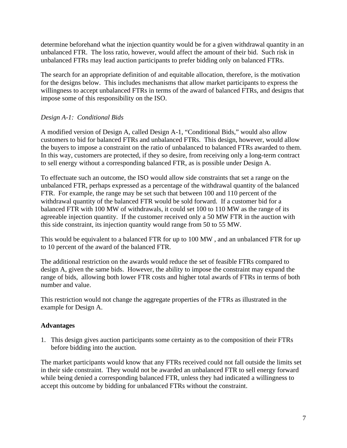determine beforehand what the injection quantity would be for a given withdrawal quantity in an unbalanced FTR. The loss ratio, however, would affect the amount of their bid. Such risk in unbalanced FTRs may lead auction participants to prefer bidding only on balanced FTRs.

The search for an appropriate definition of and equitable allocation, therefore, is the motivation for the designs below. This includes mechanisms that allow market participants to express the willingness to accept unbalanced FTRs in terms of the award of balanced FTRs, and designs that impose some of this responsibility on the ISO.

## *Design A-1: Conditional Bids*

A modified version of Design A, called Design A-1, "Conditional Bids," would also allow customers to bid for balanced FTRs and unbalanced FTRs. This design, however, would allow the buyers to impose a constraint on the ratio of unbalanced to balanced FTRs awarded to them. In this way, customers are protected, if they so desire, from receiving only a long-term contract to sell energy without a corresponding balanced FTR, as is possible under Design A.

To effectuate such an outcome, the ISO would allow side constraints that set a range on the unbalanced FTR, perhaps expressed as a percentage of the withdrawal quantity of the balanced FTR. For example, the range may be set such that between 100 and 110 percent of the withdrawal quantity of the balanced FTR would be sold forward. If a customer bid for a balanced FTR with 100 MW of withdrawals, it could set 100 to 110 MW as the range of its agreeable injection quantity. If the customer received only a 50 MW FTR in the auction with this side constraint, its injection quantity would range from 50 to 55 MW.

This would be equivalent to a balanced FTR for up to 100 MW , and an unbalanced FTR for up to 10 percent of the award of the balanced FTR.

The additional restriction on the awards would reduce the set of feasible FTRs compared to design A, given the same bids. However, the ability to impose the constraint may expand the range of bids, allowing both lower FTR costs and higher total awards of FTRs in terms of both number and value.

This restriction would not change the aggregate properties of the FTRs as illustrated in the example for Design A.

#### **Advantages**

1. This design gives auction participants some certainty as to the composition of their FTRs before bidding into the auction.

The market participants would know that any FTRs received could not fall outside the limits set in their side constraint. They would not be awarded an unbalanced FTR to sell energy forward while being denied a corresponding balanced FTR, unless they had indicated a willingness to accept this outcome by bidding for unbalanced FTRs without the constraint.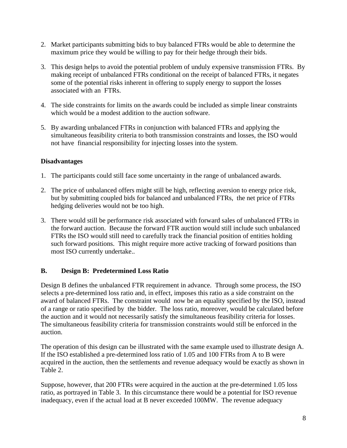- 2. Market participants submitting bids to buy balanced FTRs would be able to determine the maximum price they would be willing to pay for their hedge through their bids.
- 3. This design helps to avoid the potential problem of unduly expensive transmission FTRs. By making receipt of unbalanced FTRs conditional on the receipt of balanced FTRs, it negates some of the potential risks inherent in offering to supply energy to support the losses associated with an FTRs.
- 4. The side constraints for limits on the awards could be included as simple linear constraints which would be a modest addition to the auction software.
- 5. By awarding unbalanced FTRs in conjunction with balanced FTRs and applying the simultaneous feasibility criteria to both transmission constraints and losses, the ISO would not have financial responsibility for injecting losses into the system.

## **Disadvantages**

- 1. The participants could still face some uncertainty in the range of unbalanced awards.
- 2. The price of unbalanced offers might still be high, reflecting aversion to energy price risk, but by submitting coupled bids for balanced and unbalanced FTRs, the net price of FTRs hedging deliveries would not be too high.
- 3. There would still be performance risk associated with forward sales of unbalanced FTRs in the forward auction. Because the forward FTR auction would still include such unbalanced FTRs the ISO would still need to carefully track the financial position of entities holding such forward positions. This might require more active tracking of forward positions than most ISO currently undertake..

# **B. Design B: Predetermined Loss Ratio**

Design B defines the unbalanced FTR requirement in advance. Through some process, the ISO selects a pre-determined loss ratio and, in effect, imposes this ratio as a side constraint on the award of balanced FTRs. The constraint would now be an equality specified by the ISO, instead of a range or ratio specified by the bidder. The loss ratio, moreover, would be calculated before the auction and it would not necessarily satisfy the simultaneous feasibility criteria for losses. The simultaneous feasibility criteria for transmission constraints would still be enforced in the auction.

The operation of this design can be illustrated with the same example used to illustrate design A. If the ISO established a pre-determined loss ratio of 1.05 and 100 FTRs from A to B were acquired in the auction, then the settlements and revenue adequacy would be exactly as shown in Table 2.

Suppose, however, that 200 FTRs were acquired in the auction at the pre-determined 1.05 loss ratio, as portrayed in Table 3. In this circumstance there would be a potential for ISO revenue inadequacy, even if the actual load at B never exceeded 100MW. The revenue adequacy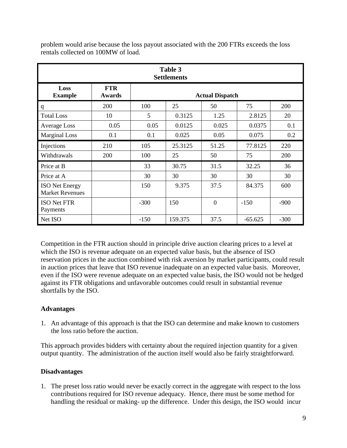| Table 3<br><b>Settlements</b>                   |                      |                                       |                        |                |           |        |  |
|-------------------------------------------------|----------------------|---------------------------------------|------------------------|----------------|-----------|--------|--|
| Loss<br><b>Example</b>                          | <b>FTR</b><br>Awards |                                       | <b>Actual Dispatch</b> |                |           |        |  |
| q                                               | 200                  | 100                                   | 25                     | 50             | 75        | 200    |  |
| <b>Total Loss</b>                               | 10                   | 5                                     | 0.3125                 | 1.25           | 2.8125    | 20     |  |
| <b>Average Loss</b>                             | 0.05                 | 0.05                                  | 0.0125                 | 0.025          | 0.0375    | 0.1    |  |
| <b>Marginal Loss</b>                            | 0.1                  | 0.1                                   | 0.025                  | 0.05           | 0.075     | 0.2    |  |
| Injections                                      | 210                  | 105                                   | 25.3125                | 51.25          | 77.8125   | 220    |  |
| Withdrawals                                     | 200                  | 100                                   | 25                     | 50             | 75        | 200    |  |
| Price at B                                      |                      | 33                                    | 30.75                  | 31.5           | 32.25     | 36     |  |
| Price at A                                      |                      | 30                                    | 30                     | 30             | 30        | 30     |  |
| <b>ISO</b> Net Energy<br><b>Market Revenues</b> |                      | 37.5<br>9.375<br>150<br>84.375<br>600 |                        |                |           |        |  |
| <b>ISO Net FTR</b><br>Payments                  |                      | $-300$                                | 150                    | $\overline{0}$ | $-150$    | $-900$ |  |
| Net ISO                                         |                      | $-150$                                | 159.375                | 37.5           | $-65.625$ | $-300$ |  |

problem would arise because the loss payout associated with the 200 FTRs exceeds the loss rentals collected on 100MW of load.

Competition in the FTR auction should in principle drive auction clearing prices to a level at which the ISO is revenue adequate on an expected value basis, but the absence of ISO reservation prices in the auction combined with risk aversion by market participants, could result in auction prices that leave that ISO revenue inadequate on an expected value basis. Moreover, even if the ISO were revenue adequate on an expected value basis, the ISO would not be hedged against its FTR obligations and unfavorable outcomes could result in substantial revenue shortfalls by the ISO.

#### **Advantages**

1. An advantage of this approach is that the ISO can determine and make known to customers the loss ratio before the auction.

This approach provides bidders with certainty about the required injection quantity for a given output quantity. The administration of the auction itself would also be fairly straightforward.

#### **Disadvantages**

1. The preset loss ratio would never be exactly correct in the aggregate with respect to the loss contributions required for ISO revenue adequacy. Hence, there must be some method for handling the residual or making- up the difference. Under this design, the ISO would incur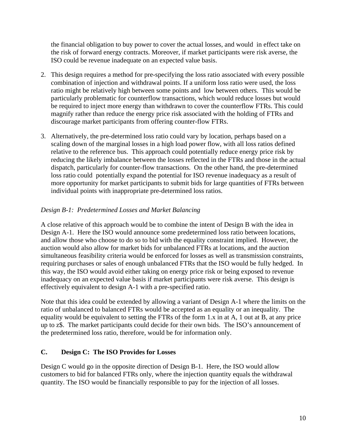the financial obligation to buy power to cover the actual losses, and would in effect take on the risk of forward energy contracts. Moreover, if market participants were risk averse, the ISO could be revenue inadequate on an expected value basis.

- 2. This design requires a method for pre-specifying the loss ratio associated with every possible combination of injection and withdrawal points. If a uniform loss ratio were used, the loss ratio might be relatively high between some points and low between others. This would be particularly problematic for counterflow transactions, which would reduce losses but would be required to inject more energy than withdrawn to cover the counterflow FTRs. This could magnify rather than reduce the energy price risk associated with the holding of FTRs and discourage market participants from offering counter-flow FTRs.
- 3. Alternatively, the pre-determined loss ratio could vary by location, perhaps based on a scaling down of the marginal losses in a high load power flow, with all loss ratios defined relative to the reference bus. This approach could potentially reduce energy price risk by reducing the likely imbalance between the losses reflected in the FTRs and those in the actual dispatch, particularly for counter-flow transactions. On the other hand, the pre-determined loss ratio could potentially expand the potential for ISO revenue inadequacy as a result of more opportunity for market participants to submit bids for large quantities of FTRs between individual points with inappropriate pre-determined loss ratios.

# *Design B-1: Predetermined Losses and Market Balancing*

A close relative of this approach would be to combine the intent of Design B with the idea in Design A-1. Here the ISO would announce some predetermined loss ratio between locations, and allow those who choose to do so to bid with the equality constraint implied. However, the auction would also allow for market bids for unbalanced FTRs at locations, and the auction simultaneous feasibility criteria would be enforced for losses as well as transmission constraints, requiring purchases or sales of enough unbalanced FTRs that the ISO would be fully hedged. In this way, the ISO would avoid either taking on energy price risk or being exposed to revenue inadequacy on an expected value basis if market participants were risk averse. This design is effectively equivalent to design A-1 with a pre-specified ratio.

Note that this idea could be extended by allowing a variant of Design A-1 where the limits on the ratio of unbalanced to balanced FTRs would be accepted as an equality or an inequality. The equality would be equivalent to setting the FTRs of the form 1.x in at A, 1 out at B, at any price up to z\$. The market participants could decide for their own bids. The ISO's announcement of the predetermined loss ratio, therefore, would be for information only.

#### **C. Design C: The ISO Provides for Losses**

Design C would go in the opposite direction of Design B-1. Here, the ISO would allow customers to bid for balanced FTRs only, where the injection quantity equals the withdrawal quantity. The ISO would be financially responsible to pay for the injection of all losses.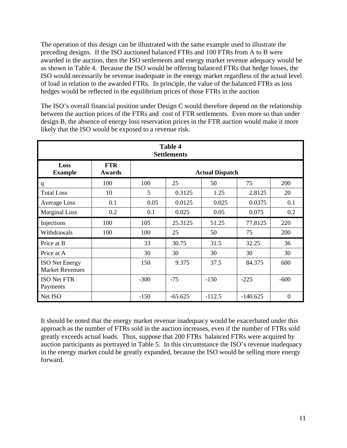The operation of this design can be illustrated with the same example used to illustrate the preceding designs. If the ISO auctioned balanced FTRs and 100 FTRs from A to B were awarded in the auction, then the ISO settlements and energy market revenue adequacy would be as shown in Table 4. Because the ISO would be offering balanced FTRs that hedge losses, the ISO would necessarily be revenue inadequate in the energy market regardless of the actual level of load in relation to the awarded FTRs. In principle, the value of the balanced FTRs as loss hedges would be reflected in the equilibrium prices of those FTRs in the auction

The ISO's overall financial position under Design C would therefore depend on the relationship between the auction prices of the FTRs and cost of FTR settlements. Even more so than under design B, the absence of energy loss reservation prices in the FTR auction would make it more likely that the ISO would be exposed to a revenue risk.

| <b>Table 4</b><br><b>Settlements</b>            |                      |        |                        |          |            |                  |  |
|-------------------------------------------------|----------------------|--------|------------------------|----------|------------|------------------|--|
| Loss<br><b>Example</b>                          | <b>FTR</b><br>Awards |        | <b>Actual Dispatch</b> |          |            |                  |  |
| q                                               | 100                  | 100    | 25                     | 50       | 75         | 200              |  |
| <b>Total Loss</b>                               | 10                   | 5      | 0.3125                 | 1.25     | 2.8125     | 20               |  |
| <b>Average Loss</b>                             | 0.1                  | 0.05   | 0.0125                 | 0.025    | 0.0375     | 0.1              |  |
| <b>Marginal Loss</b>                            | 0.2                  | 0.1    | 0.025                  | 0.05     | 0.075      | 0.2              |  |
| Injections                                      | 100                  | 105    | 25.3125                | 51.25    | 77.8125    | 220              |  |
| Withdrawals                                     | 100                  | 100    | 25                     | 50       | 75         | 200              |  |
| Price at B                                      |                      | 33     | 30.75                  | 31.5     | 32.25      | 36               |  |
| Price at A                                      |                      | 30     | 30                     | 30       | 30         | 30               |  |
| <b>ISO</b> Net Energy<br><b>Market Revenues</b> |                      | 150    | 9.375                  | 37.5     | 84.375     | 600              |  |
| <b>ISO Net FTR</b><br>Payments                  |                      | $-300$ | $-75$                  | $-150$   | $-225$     | $-600$           |  |
| Net ISO                                         |                      | $-150$ | $-65.625$              | $-112.5$ | $-140.625$ | $\boldsymbol{0}$ |  |

It should be noted that the energy market revenue inadequacy would be exacerbated under this approach as the number of FTRs sold in the auction increases, even if the number of FTRs sold greatly exceeds actual loads. Thus, suppose that 200 FTRs balanced FTRs were acquired by auction participants as portrayed in Table 5. In this circumstance the ISO's revenue inadequacy in the energy market could be greatly expanded, because the ISO would be selling more energy forward.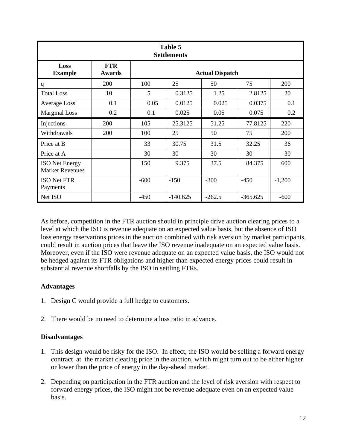| Table 5<br><b>Settlements</b>                   |                      |                                       |                        |          |            |          |  |
|-------------------------------------------------|----------------------|---------------------------------------|------------------------|----------|------------|----------|--|
| Loss<br><b>Example</b>                          | <b>FTR</b><br>Awards |                                       | <b>Actual Dispatch</b> |          |            |          |  |
| q                                               | 200                  | 100                                   | 25                     | 50       | 75         | 200      |  |
| <b>Total Loss</b>                               | 10                   | 5                                     | 0.3125                 | 1.25     | 2.8125     | 20       |  |
| <b>Average Loss</b>                             | 0.1                  | 0.05                                  | 0.0125                 | 0.025    | 0.0375     | 0.1      |  |
| <b>Marginal Loss</b>                            | 0.2                  | 0.1                                   | 0.025                  | 0.05     | 0.075      | 0.2      |  |
| Injections                                      | 200                  | 105                                   | 25.3125                | 51.25    | 77.8125    | 220      |  |
| Withdrawals                                     | 200                  | 100                                   | 25                     | 50       | 75         | 200      |  |
| Price at B                                      |                      | 33                                    | 30.75                  | 31.5     | 32.25      | 36       |  |
| Price at A                                      |                      | 30                                    | 30                     | 30       | 30         | 30       |  |
| <b>ISO</b> Net Energy<br><b>Market Revenues</b> |                      | 37.5<br>9.375<br>84.375<br>150<br>600 |                        |          |            |          |  |
| <b>ISO Net FTR</b><br>Payments                  |                      | $-600$                                | $-150$                 | $-300$   | $-450$     | $-1,200$ |  |
| Net ISO                                         |                      | $-450$                                | $-140.625$             | $-262.5$ | $-365.625$ | $-600$   |  |

As before, competition in the FTR auction should in principle drive auction clearing prices to a level at which the ISO is revenue adequate on an expected value basis, but the absence of ISO loss energy reservations prices in the auction combined with risk aversion by market participants, could result in auction prices that leave the ISO revenue inadequate on an expected value basis. Moreover, even if the ISO were revenue adequate on an expected value basis, the ISO would not be hedged against its FTR obligations and higher than expected energy prices could result in substantial revenue shortfalls by the ISO in settling FTRs.

# **Advantages**

- 1. Design C would provide a full hedge to customers.
- 2. There would be no need to determine a loss ratio in advance.

#### **Disadvantages**

- 1. This design would be risky for the ISO. In effect, the ISO would be selling a forward energy contract at the market clearing price in the auction, which might turn out to be either higher or lower than the price of energy in the day-ahead market.
- 2. Depending on participation in the FTR auction and the level of risk aversion with respect to forward energy prices, the ISO might not be revenue adequate even on an expected value basis.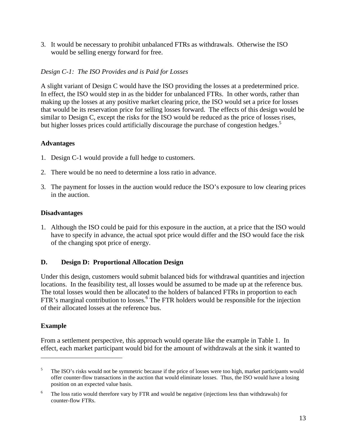3. It would be necessary to prohibit unbalanced FTRs as withdrawals. Otherwise the ISO would be selling energy forward for free.

## *Design C-1: The ISO Provides and is Paid for Losses*

A slight variant of Design C would have the ISO providing the losses at a predetermined price. In effect, the ISO would step in as the bidder for unbalanced FTRs. In other words, rather than making up the losses at any positive market clearing price, the ISO would set a price for losses that would be its reservation price for selling losses forward. The effects of this design would be similar to Design C, except the risks for the ISO would be reduced as the price of losses rises, but higher losses prices could artificially discourage the purchase of congestion hedges.<sup>5</sup>

#### **Advantages**

- 1. Design C-1 would provide a full hedge to customers.
- 2. There would be no need to determine a loss ratio in advance.
- 3. The payment for losses in the auction would reduce the ISO's exposure to low clearing prices in the auction.

## **Disadvantages**

1. Although the ISO could be paid for this exposure in the auction, at a price that the ISO would have to specify in advance, the actual spot price would differ and the ISO would face the risk of the changing spot price of energy.

# **D. Design D: Proportional Allocation Design**

Under this design, customers would submit balanced bids for withdrawal quantities and injection locations. In the feasibility test, all losses would be assumed to be made up at the reference bus. The total losses would then be allocated to the holders of balanced FTRs in proportion to each FTR's marginal contribution to losses.<sup>6</sup> The FTR holders would be responsible for the injection of their allocated losses at the reference bus.

#### **Example**

1

From a settlement perspective, this approach would operate like the example in Table 1. In effect, each market participant would bid for the amount of withdrawals at the sink it wanted to

<sup>&</sup>lt;sup>5</sup> The ISO's risks would not be symmetric because if the price of losses were too high, market participants would offer counter-flow transactions in the auction that would eliminate losses. Thus, the ISO would have a losing position on an expected value basis.

 $6$  The loss ratio would therefore vary by FTR and would be negative (injections less than withdrawals) for counter-flow FTRs.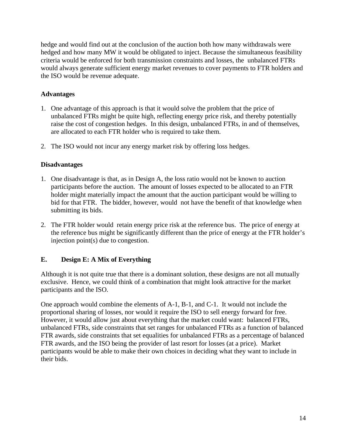hedge and would find out at the conclusion of the auction both how many withdrawals were hedged and how many MW it would be obligated to inject. Because the simultaneous feasibility criteria would be enforced for both transmission constraints and losses, the unbalanced FTRs would always generate sufficient energy market revenues to cover payments to FTR holders and the ISO would be revenue adequate.

## **Advantages**

- 1. One advantage of this approach is that it would solve the problem that the price of unbalanced FTRs might be quite high, reflecting energy price risk, and thereby potentially raise the cost of congestion hedges. In this design, unbalanced FTRs, in and of themselves, are allocated to each FTR holder who is required to take them.
- 2. The ISO would not incur any energy market risk by offering loss hedges.

#### **Disadvantages**

- 1. One disadvantage is that, as in Design A, the loss ratio would not be known to auction participants before the auction. The amount of losses expected to be allocated to an FTR holder might materially impact the amount that the auction participant would be willing to bid for that FTR. The bidder, however, would not have the benefit of that knowledge when submitting its bids.
- 2. The FTR holder would retain energy price risk at the reference bus. The price of energy at the reference bus might be significantly different than the price of energy at the FTR holder's injection point(s) due to congestion.

#### **E. Design E: A Mix of Everything**

Although it is not quite true that there is a dominant solution, these designs are not all mutually exclusive. Hence, we could think of a combination that might look attractive for the market participants and the ISO.

One approach would combine the elements of A-1, B-1, and C-1. It would not include the proportional sharing of losses, nor would it require the ISO to sell energy forward for free. However, it would allow just about everything that the market could want: balanced FTRs, unbalanced FTRs, side constraints that set ranges for unbalanced FTRs as a function of balanced FTR awards, side constraints that set equalities for unbalanced FTRs as a percentage of balanced FTR awards, and the ISO being the provider of last resort for losses (at a price). Market participants would be able to make their own choices in deciding what they want to include in their bids.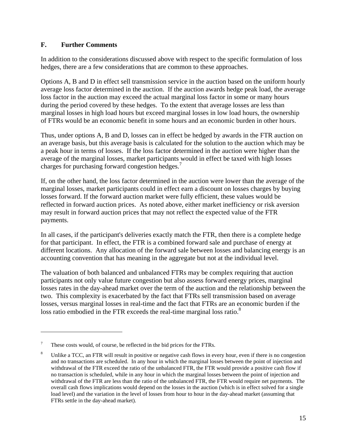#### **F. Further Comments**

In addition to the considerations discussed above with respect to the specific formulation of loss hedges, there are a few considerations that are common to these approaches.

Options A, B and D in effect sell transmission service in the auction based on the uniform hourly average loss factor determined in the auction. If the auction awards hedge peak load, the average loss factor in the auction may exceed the actual marginal loss factor in some or many hours during the period covered by these hedges. To the extent that average losses are less than marginal losses in high load hours but exceed marginal losses in low load hours, the ownership of FTRs would be an economic benefit in some hours and an economic burden in other hours.

Thus, under options A, B and D, losses can in effect be hedged by awards in the FTR auction on an average basis, but this average basis is calculated for the solution to the auction which may be a peak hour in terms of losses. If the loss factor determined in the auction were higher than the average of the marginal losses, market participants would in effect be taxed with high losses charges for purchasing forward congestion hedges.<sup>7</sup>

If, on the other hand, the loss factor determined in the auction were lower than the average of the marginal losses, market participants could in effect earn a discount on losses charges by buying losses forward. If the forward auction market were fully efficient, these values would be reflected in forward auction prices. As noted above, either market inefficiency or risk aversion may result in forward auction prices that may not reflect the expected value of the FTR payments.

In all cases, if the participant's deliveries exactly match the FTR, then there is a complete hedge for that participant. In effect, the FTR is a combined forward sale and purchase of energy at different locations. Any allocation of the forward sale between losses and balancing energy is an accounting convention that has meaning in the aggregate but not at the individual level.

The valuation of both balanced and unbalanced FTRs may be complex requiring that auction participants not only value future congestion but also assess forward energy prices, marginal losses rates in the day-ahead market over the term of the auction and the relationship between the two. This complexity is exacerbated by the fact that FTRs sell transmission based on average losses, versus marginal losses in real-time and the fact that FTRs are an economic burden if the loss ratio embodied in the FTR exceeds the real-time marginal loss ratio.<sup>8</sup>

 $\overline{a}$ 

These costs would, of course, be reflected in the bid prices for the FTRs.

<sup>&</sup>lt;sup>8</sup> Unlike a TCC, an FTR will result in positive or negative cash flows in every hour, even if there is no congestion and no transactions are scheduled. In any hour in which the marginal losses between the point of injection and withdrawal of the FTR exceed the ratio of the unbalanced FTR, the FTR would provide a positive cash flow if no transaction is scheduled, while in any hour in which the marginal losses between the point of injection and withdrawal of the FTR are less than the ratio of the unbalanced FTR, the FTR would require net payments. The overall cash flows implications would depend on the losses in the auction (which is in effect solved for a single load level) and the variation in the level of losses from hour to hour in the day-ahead market (assuming that FTRs settle in the day-ahead market).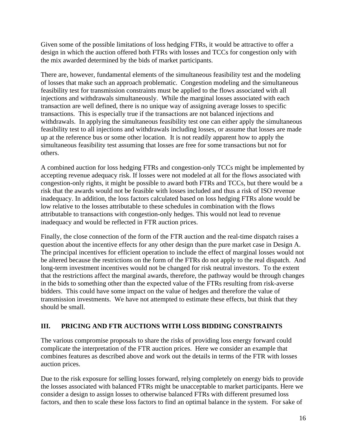Given some of the possible limitations of loss hedging FTRs, it would be attractive to offer a design in which the auction offered both FTRs with losses and TCCs for congestion only with the mix awarded determined by the bids of market participants.

There are, however, fundamental elements of the simultaneous feasibility test and the modeling of losses that make such an approach problematic. Congestion modeling and the simultaneous feasibility test for transmission constraints must be applied to the flows associated with all injections and withdrawals simultaneously. While the marginal losses associated with each transaction are well defined, there is no unique way of assigning average losses to specific transactions. This is especially true if the transactions are not balanced injections and withdrawals. In applying the simultaneous feasibility test one can either apply the simultaneous feasibility test to all injections and withdrawals including losses, or assume that losses are made up at the reference bus or some other location. It is not readily apparent how to apply the simultaneous feasibility test assuming that losses are free for some transactions but not for others.

A combined auction for loss hedging FTRs and congestion-only TCCs might be implemented by accepting revenue adequacy risk. If losses were not modeled at all for the flows associated with congestion-only rights, it might be possible to award both FTRs and TCCs, but there would be a risk that the awards would not be feasible with losses included and thus a risk of ISO revenue inadequacy. In addition, the loss factors calculated based on loss hedging FTRs alone would be low relative to the losses attributable to these schedules in combination with the flows attributable to transactions with congestion-only hedges. This would not lead to revenue inadequacy and would be reflected in FTR auction prices.

Finally, the close connection of the form of the FTR auction and the real-time dispatch raises a question about the incentive effects for any other design than the pure market case in Design A. The principal incentives for efficient operation to include the effect of marginal losses would not be altered because the restrictions on the form of the FTRs do not apply to the real dispatch. And long-term investment incentives would not be changed for risk neutral investors. To the extent that the restrictions affect the marginal awards, therefore, the pathway would be through changes in the bids to something other than the expected value of the FTRs resulting from risk-averse bidders. This could have some impact on the value of hedges and therefore the value of transmission investments. We have not attempted to estimate these effects, but think that they should be small.

# **III. PRICING AND FTR AUCTIONS WITH LOSS BIDDING CONSTRAINTS**

The various compromise proposals to share the risks of providing loss energy forward could complicate the interpretation of the FTR auction prices. Here we consider an example that combines features as described above and work out the details in terms of the FTR with losses auction prices.

Due to the risk exposure for selling losses forward, relying completely on energy bids to provide the losses associated with balanced FTRs might be unacceptable to market participants. Here we consider a design to assign losses to otherwise balanced FTRs with different presumed loss factors, and then to scale these loss factors to find an optimal balance in the system. For sake of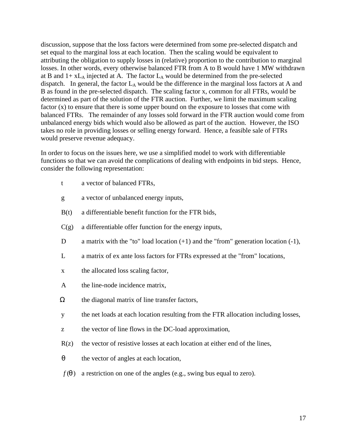discussion, suppose that the loss factors were determined from some pre-selected dispatch and set equal to the marginal loss at each location. Then the scaling would be equivalent to attributing the obligation to supply losses in (relative) proportion to the contribution to marginal losses. In other words, every otherwise balanced FTR from A to B would have 1 MW withdrawn at B and  $1 + xL_A$  injected at A. The factor  $L_A$  would be determined from the pre-selected dispatch. In general, the factor  $L_A$  would be the difference in the marginal loss factors at A and B as found in the pre-selected dispatch. The scaling factor x, common for all FTRs, would be determined as part of the solution of the FTR auction. Further, we limit the maximum scaling factor (x) to ensure that there is some upper bound on the exposure to losses that come with balanced FTRs. The remainder of any losses sold forward in the FTR auction would come from unbalanced energy bids which would also be allowed as part of the auction. However, the ISO takes no role in providing losses or selling energy forward. Hence, a feasible sale of FTRs would preserve revenue adequacy.

In order to focus on the issues here, we use a simplified model to work with differentiable functions so that we can avoid the complications of dealing with endpoints in bid steps. Hence, consider the following representation:

- t a vector of balanced FTRs,
- g a vector of unbalanced energy inputs,
- B(t) a differentiable benefit function for the FTR bids,
- $C(g)$  a differentiable offer function for the energy inputs,
- D a matrix with the "to" load location  $(+1)$  and the "from" generation location  $(-1)$ ,
- L a matrix of ex ante loss factors for FTRs expressed at the "from" locations,
- x the allocated loss scaling factor,
- A the line-node incidence matrix,
- $\Omega$  the diagonal matrix of line transfer factors,
- y the net loads at each location resulting from the FTR allocation including losses,
- z the vector of line flows in the DC-load approximation,
- $R(z)$  the vector of resistive losses at each location at either end of the lines,
- *q* the vector of angles at each location,
- $f(\mathbf{q})$  a restriction on one of the angles (e.g., swing bus equal to zero).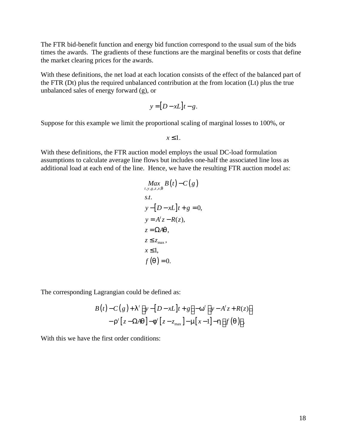The FTR bid-benefit function and energy bid function correspond to the usual sum of the bids times the awards. The gradients of these functions are the marginal benefits or costs that define the market clearing prices for the awards.

With these definitions, the net load at each location consists of the effect of the balanced part of the FTR (Dt) plus the required unbalanced contribution at the from location (Lt) plus the true unbalanced sales of energy forward (g), or

$$
y = [D - xL]t - g.
$$

Suppose for this example we limit the proportional scaling of marginal losses to 100%, or

 $x \leq 1$ .

With these definitions, the FTR auction model employs the usual DC-load formulation assumptions to calculate average line flows but includes one-half the associated line loss as additional load at each end of the line. Hence, we have the resulting FTR auction model as:

$$
\begin{aligned}\nMax \quad B(t) - C(g) \\
s.t. \\
s.t. \\
y - [D - xL]t + g &= 0, \\
y &= A'z - R(z), \\
z &= \Omega Aq, \\
x \le 1, \\
f(q) &= 0.\n\end{aligned}
$$

The corresponding Lagrangian could be defined as:

$$
B(t)-C(g)+I^{\prime}\big[y-[D-xL]t+g\big]-\mathbf{w}^{\prime}\big[y-A^{\prime}z+R(z)\big]-\mathbf{r}^{\prime}\big[z-\Omega A\mathbf{q}\big]-\mathbf{f}^{\prime}\big[z-z_{\max}\big]-\mathbf{m}[x-1]-\mathbf{h}\big[f\big(\mathbf{q}\big)\big].
$$

With this we have the first order conditions: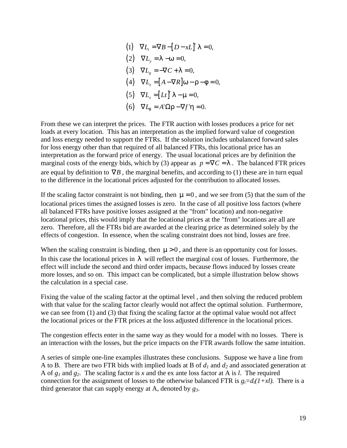(1)  $\nabla L_t = \nabla B - [D - xL]^t \mathbf{1} = 0,$  $(2)$   $\nabla L_y = \mathbf{I} - \mathbf{w} = 0,$  $(3) \quad \nabla L_g = -\nabla C + I = 0,$  $(4)$   $\nabla L_z = [A - \nabla R] \mathbf{w} - \mathbf{r} - \mathbf{f} = 0,$ (5)  $\nabla L_x = [Lt]^t \mathbf{1} - \mathbf{m} = 0,$ (6)  $\nabla L_q = A^t \Omega \mathbf{r} - \nabla f^t \mathbf{h} = 0.$  $\nabla L_{t} = \nabla B - [D - xL]^{t} I =$  $\nabla L_{\mathbf{x}} = [Lt]^T \mathbf{I} - \mathbf{m} =$ 

From these we can interpret the prices. The FTR auction with losses produces a price for net loads at every location. This has an interpretation as the implied forward value of congestion and loss energy needed to support the FTRs. If the solution includes unbalanced forward sales for loss energy other than that required of all balanced FTRs, this locational price has an interpretation as the forward price of energy. The usual locational prices are by definition the marginal costs of the energy bids, which by (3) appear as  $p = \nabla C = I$ . The balanced FTR prices are equal by definition to  $\nabla B$ , the marginal benefits, and according to (1) these are in turn equal to the difference in the locational prices adjusted for the contribution to allocated losses.

If the scaling factor constraint is not binding, then  $m = 0$ , and we see from (5) that the sum of the locational prices times the assigned losses is zero. In the case of all positive loss factors (where all balanced FTRs have positive losses assigned at the "from" location) and non-negative locational prices, this would imply that the locational prices at the "from" locations are all are zero. Therefore, all the FTRs bid are awarded at the clearing price as determined solely by the effects of congestion. In essence, when the scaling constraint does not bind, losses are free.

When the scaling constraint is binding, then  $\mathbf{m} > 0$ , and there is an opportunity cost for losses. In this case the locational prices in *l* will reflect the marginal cost of losses. Furthermore, the effect will include the second and third order impacts, because flows induced by losses create more losses, and so on. This impact can be complicated, but a simple illustration below shows the calculation in a special case.

Fixing the value of the scaling factor at the optimal level , and then solving the reduced problem with that value for the scaling factor clearly would not affect the optimal solution. Furthermore, we can see from (1) and (3) that fixing the scaling factor at the optimal value would not affect the locational prices or the FTR prices at the loss adjusted difference in the locational prices.

The congestion effects enter in the same way as they would for a model with no losses. There is an interaction with the losses, but the price impacts on the FTR awards follow the same intuition.

A series of simple one-line examples illustrates these conclusions. Suppose we have a line from A to B. There are two FTR bids with implied loads at B of *d1* and *d2* and associated generation at A of *g1* and *g2*. The scaling factor is *x* and the ex ante loss factor at A is *l*. The required connection for the assignment of losses to the otherwise balanced FTR is  $g_i = d_i(1 + xl)$ . There is a third generator that can supply energy at A, denoted by *g3*.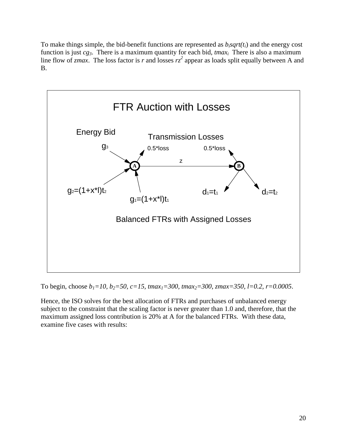To make things simple, the bid-benefit functions are represented as  $b_i$ *sqrt(t<sub>i</sub>*) and the energy cost function is just *cg3*. There is a maximum quantity for each bid, *tmax<sup>i</sup>* There is also a maximum line flow of *zmax*. The loss factor is *r* and losses  $rz^2$  appear as loads split equally between A and B.



To begin, choose *b1=10, b2=50, c=15, tmax1=300, tmax2=300, zmax=350, l=0.2, r=0.0005*.

Hence, the ISO solves for the best allocation of FTRs and purchases of unbalanced energy subject to the constraint that the scaling factor is never greater than 1.0 and, therefore, that the maximum assigned loss contribution is 20% at A for the balanced FTRs. With these data, examine five cases with results: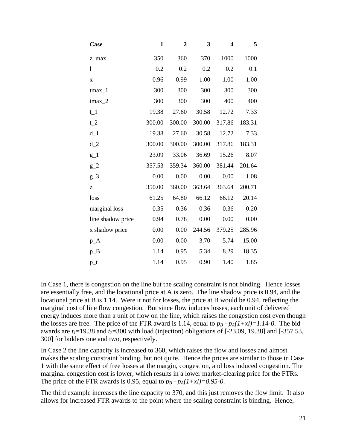| Case              | $\mathbf{1}$ | $\boldsymbol{2}$ | 3      | 4      | 5      |  |
|-------------------|--------------|------------------|--------|--------|--------|--|
| z_max             | 350          | 360              | 370    | 1000   | 1000   |  |
| $\mathbf{1}$      | 0.2          | 0.2              | 0.2    | 0.2    | 0.1    |  |
| $\mathbf X$       | 0.96         | 0.99             | 1.00   | 1.00   | 1.00   |  |
| $t$ max $_1$      | 300          | 300              | 300    | 300    | 300    |  |
| $t$ max $_2$      | 300          | 300              | 300    | 400    | 400    |  |
| $t_1$             | 19.38        | 27.60            | 30.58  | 12.72  | 7.33   |  |
| $t_2$             | 300.00       | 300.00           | 300.00 | 317.86 | 183.31 |  |
| $d_1$             | 19.38        | 27.60            | 30.58  | 12.72  | 7.33   |  |
| $d_2$             | 300.00       | 300.00           | 300.00 | 317.86 | 183.31 |  |
| $g_1$             | 23.09        | 33.06            | 36.69  | 15.26  | 8.07   |  |
| $g_2$             | 357.53       | 359.34           | 360.00 | 381.44 | 201.64 |  |
| $g_3$             | 0.00         | 0.00             | 0.00   | 0.00   | 1.08   |  |
| Z                 | 350.00       | 360.00           | 363.64 | 363.64 | 200.71 |  |
| loss              | 61.25        | 64.80            | 66.12  | 66.12  | 20.14  |  |
| marginal loss     | 0.35         | 0.36             | 0.36   | 0.36   | 0.20   |  |
| line shadow price | 0.94         | 0.78             | 0.00   | 0.00   | 0.00   |  |
| x shadow price    | 0.00         | 0.00             | 244.56 | 379.25 | 285.96 |  |
| $p_A$             | 0.00         | 0.00             | 3.70   | 5.74   | 15.00  |  |
| $p_B$             | 1.14         | 0.95             | 5.34   | 8.29   | 18.35  |  |
| $p_t$             | 1.14         | 0.95             | 0.90   | 1.40   | 1.85   |  |

In Case 1, there is congestion on the line but the scaling constraint is not binding. Hence losses are essentially free, and the locational price at A is zero. The line shadow price is 0.94, and the locational price at B is 1.14. Were it not for losses, the price at B would be 0.94, reflecting the marginal cost of line flow congestion. But since flow induces losses, each unit of delivered energy induces more than a unit of flow on the line, which raises the congestion cost even though the losses are free. The price of the FTR award is 1.14, equal to  $p_B$  -  $p_A(1+xl)=1.14-0$ . The bid awards are  $t_1$ =19.38 and  $t_2$ =300 with load (injection) obligations of [-23.09, 19.38] and [-357.53, 300] for bidders one and two, respectively.

In Case 2 the line capacity is increased to 360, which raises the flow and losses and almost makes the scaling constraint binding, but not quite. Hence the prices are similar to those in Case 1 with the same effect of free losses at the margin, congestion, and loss induced congestion. The marginal congestion cost is lower, which results in a lower market-clearing price for the FTRs. The price of the FTR awards is 0.95, equal to  $p_B$  -  $p_A(1+xI)=0.95-0$ .

The third example increases the line capacity to 370, and this just removes the flow limit. It also allows for increased FTR awards to the point where the scaling constraint is binding. Hence,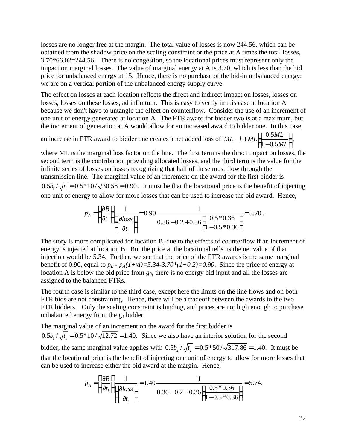losses are no longer free at the margin. The total value of losses is now 244.56, which can be obtained from the shadow price on the scaling constraint or the price at A times the total losses, 3.70\*66.02=244.56. There is no congestion, so the locational prices must represent only the impact on marginal losses. The value of marginal energy at A is 3.70, which is less than the bid price for unbalanced energy at 15. Hence, there is no purchase of the bid-in unbalanced energy; we are on a vertical portion of the unbalanced energy supply curve.

The effect on losses at each location reflects the direct and indirect impact on losses, losses on losses, losses on these losses, ad infinitum. This is easy to verify in this case at location A because we don't have to untangle the effect on counterflow. Consider the use of an increment of one unit of energy generated at location A. The FTR award for bidder two is at a maximum, but the increment of generation at A would allow for an increased award to bidder one. In this case,

an increase in FTR award to bidder one creates a net added loss of  $ML-l+ML$   $\left[\frac{0.5}{1.56}\right]$  $1 - 0.5$  $ML-l+ML$  $\left[\frac{0.5ML}{1.0000}\right]$ *ML*  $-l+ML\left[\frac{0.5ML}{1-0.5ML}\right],$ 

where ML is the marginal loss factor on the line. The first term is the direct impact on losses, the second term is the contribution providing allocated losses, and the third term is the value for the infinite series of losses on losses recognizing that half of these must flow through the transmission line. The marginal value of an increment on the award for the first bidder is  $0.5 b_1 / \sqrt{t_1} = 0.5 * 10 / \sqrt{30.58} = 0.90$ . It must be that the locational price is the benefit of injecting one unit of energy to allow for more losses that can be used to increase the bid award. Hence,

$$
p_A = \left(\frac{\partial B}{\partial t_1}\right) \frac{1}{\left(\frac{\partial loss}{\partial t_1}\right)} = 0.90 \frac{1}{0.36 - 0.2 + 0.36 \left[\frac{0.5 * 0.36}{1 - 0.5 * 0.36}\right]} = 3.70.
$$

The story is more complicated for location B, due to the effects of counterflow if an increment of energy is injected at location B. But the price at the locational tells us the net value of that injection would be 5.34. Further, we see that the price of the FTR awards is the same marginal benefit of 0.90, equal to  $p_B$  -  $p_A(1+xI)=5.34-3.70*(1+0.2)=0.90$ . Since the price of energy at location A is below the bid price from *g3*, there is no energy bid input and all the losses are assigned to the balanced FTRs.

The fourth case is similar to the third case, except here the limits on the line flows and on both FTR bids are not constraining. Hence, there will be a tradeoff between the awards to the two FTR bidders. Only the scaling constraint is binding, and prices are not high enough to purchase unbalanced energy from the  $g_3$  bidder.

The marginal value of an increment on the award for the first bidder is

 $0.5b_1/\sqrt{t_1} = 0.5*10/\sqrt{12.72} = 1.40$ . Since we also have an interior solution for the second bidder, the same marginal value applies with  $0.5b_2/\sqrt{t_2} = 0.5*50/\sqrt{317.86} = 1.40$ . It must be that the locational price is the benefit of injecting one unit of energy to allow for more losses that can be used to increase either the bid award at the margin. Hence,

$$
p_A = \left(\frac{\partial B}{\partial t_i}\right) \frac{1}{\left(\frac{\partial loss}{\partial t_i}\right)} = 1.40 \frac{1}{0.36 - 0.2 + 0.36 \left[\frac{0.5 * 0.36}{1 - 0.5 * 0.36}\right]} = 5.74.
$$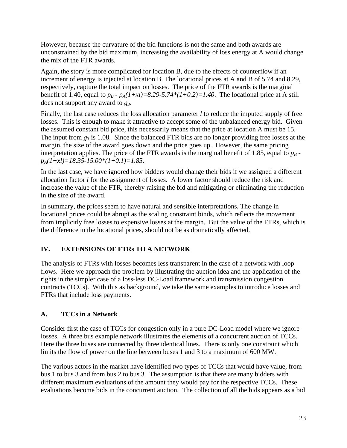However, because the curvature of the bid functions is not the same and both awards are unconstrained by the bid maximum, increasing the availability of loss energy at A would change the mix of the FTR awards.

Again, the story is more complicated for location B, due to the effects of counterflow if an increment of energy is injected at location B. The locational prices at A and B of 5.74 and 8.29, respectively, capture the total impact on losses. The price of the FTR awards is the marginal benefit of 1.40, equal to  $p_B$  -  $p_A(1+xI)=8.29-5.74*(1+0.2)=1.40$ . The locational price at A still does not support any award to *g3*.

Finally, the last case reduces the loss allocation parameter *l* to reduce the imputed supply of free losses. This is enough to make it attractive to accept some of the unbalanced energy bid. Given the assumed constant bid price, this necessarily means that the price at location A must be 15. The input from  $g_3$  is 1.08. Since the balanced FTR bids are no longer providing free losses at the margin, the size of the award goes down and the price goes up. However, the same pricing interpretation applies. The price of the FTR awards is the marginal benefit of 1.85, equal to  $p_B$ *pA(1+xl)=18.35-15.00\*(1+0.1)=1.85*.

In the last case, we have ignored how bidders would change their bids if we assigned a different allocation factor *l* for the assignment of losses. A lower factor should reduce the risk and increase the value of the FTR, thereby raising the bid and mitigating or eliminating the reduction in the size of the award.

In summary, the prices seem to have natural and sensible interpretations. The change in locational prices could be abrupt as the scaling constraint binds, which reflects the movement from implicitly free losses to expensive losses at the margin. But the value of the FTRs, which is the difference in the locational prices, should not be as dramatically affected.

# **IV. EXTENSIONS OF FTRs TO A NETWORK**

The analysis of FTRs with losses becomes less transparent in the case of a network with loop flows. Here we approach the problem by illustrating the auction idea and the application of the rights in the simpler case of a loss-less DC-Load framework and transmission congestion contracts (TCCs). With this as background, we take the same examples to introduce losses and FTRs that include loss payments.

# **A. TCCs in a Network**

Consider first the case of TCCs for congestion only in a pure DC-Load model where we ignore losses. A three bus example network illustrates the elements of a concurrent auction of TCCs. Here the three buses are connected by three identical lines. There is only one constraint which limits the flow of power on the line between buses 1 and 3 to a maximum of 600 MW.

The various actors in the market have identified two types of TCCs that would have value, from bus 1 to bus 3 and from bus 2 to bus 3. The assumption is that there are many bidders with different maximum evaluations of the amount they would pay for the respective TCCs. These evaluations become bids in the concurrent auction. The collection of all the bids appears as a bid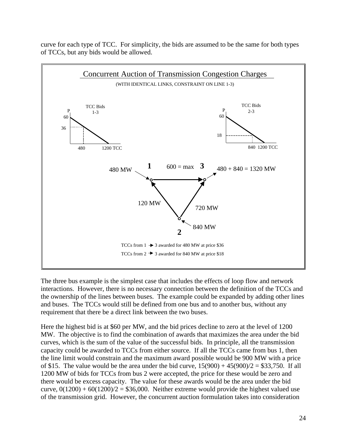curve for each type of TCC. For simplicity, the bids are assumed to be the same for both types of TCCs, but any bids would be allowed.



The three bus example is the simplest case that includes the effects of loop flow and network interactions. However, there is no necessary connection between the definition of the TCCs and the ownership of the lines between buses. The example could be expanded by adding other lines and buses. The TCCs would still be defined from one bus and to another bus, without any requirement that there be a direct link between the two buses.

Here the highest bid is at \$60 per MW, and the bid prices decline to zero at the level of 1200 MW. The objective is to find the combination of awards that maximizes the area under the bid curves, which is the sum of the value of the successful bids. In principle, all the transmission capacity could be awarded to TCCs from either source. If all the TCCs came from bus 1, then the line limit would constrain and the maximum award possible would be 900 MW with a price of \$15. The value would be the area under the bid curve,  $15(900) + 45(900)/2 = $33,750$ . If all 1200 MW of bids for TCCs from bus 2 were accepted, the price for these would be zero and there would be excess capacity. The value for these awards would be the area under the bid curve,  $0(1200) + 60(1200)/2 = $36,000$ . Neither extreme would provide the highest valued use of the transmission grid. However, the concurrent auction formulation takes into consideration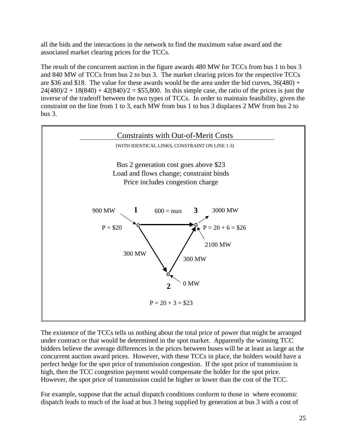all the bids and the interactions in the network to find the maximum value award and the associated market clearing prices for the TCCs.

The result of the concurrent auction in the figure awards 480 MW for TCCs from bus 1 to bus 3 and 840 MW of TCCs from bus 2 to bus 3. The market clearing prices for the respective TCCs are \$36 and \$18. The value for these awards would be the area under the bid curves,  $36(480) +$  $24(480)/2 + 18(840) + 42(840)/2 = $55,800$ . In this simple case, the ratio of the prices is just the inverse of the tradeoff between the two types of TCCs. In order to maintain feasibility, given the constraint on the line from 1 to 3, each MW from bus 1 to bus 3 displaces 2 MW from bus 2 to bus 3.



The existence of the TCCs tells us nothing about the total price of power that might be arranged under contract or that would be determined in the spot market. Apparently the winning TCC bidders believe the average differences in the prices between buses will be at least as large as the concurrent auction award prices. However, with these TCCs in place, the holders would have a perfect hedge for the spot price of transmission congestion. If the spot price of transmission is high, then the TCC congestion payment would compensate the holder for the spot price. However, the spot price of transmission could be higher or lower than the cost of the TCC.

For example, suppose that the actual dispatch conditions conform to those in where economic dispatch leads to much of the load at bus 3 being supplied by generation at bus 3 with a cost of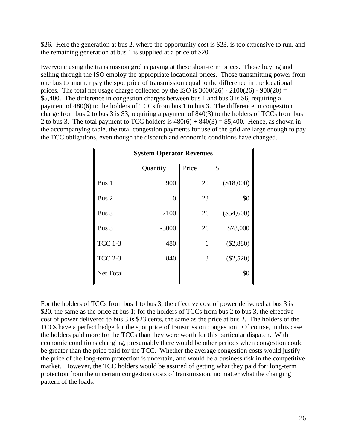\$26. Here the generation at bus 2, where the opportunity cost is \$23, is too expensive to run, and the remaining generation at bus 1 is supplied at a price of \$20.

Everyone using the transmission grid is paying at these short-term prices. Those buying and selling through the ISO employ the appropriate locational prices. Those transmitting power from one bus to another pay the spot price of transmission equal to the difference in the locational prices. The total net usage charge collected by the ISO is  $3000(26) - 2100(26) - 900(20) =$ \$5,400. The difference in congestion charges between bus 1 and bus 3 is \$6, requiring a payment of 480(6) to the holders of TCCs from bus 1 to bus 3. The difference in congestion charge from bus 2 to bus 3 is \$3, requiring a payment of 840(3) to the holders of TCCs from bus 2 to bus 3. The total payment to TCC holders is  $480(6) + 840(3) = $5,400$ . Hence, as shown in the accompanying table, the total congestion payments for use of the grid are large enough to pay the TCC obligations, even though the dispatch and economic conditions have changed.

| <b>System Operator Revenues</b> |          |       |              |  |  |  |
|---------------------------------|----------|-------|--------------|--|--|--|
|                                 | Quantity | Price | \$           |  |  |  |
| Bus 1                           | 900      | 20    | (\$18,000)   |  |  |  |
| Bus 2                           | 0        | 23    | \$0          |  |  |  |
| Bus 3                           | 2100     | 26    | $(\$54,600)$ |  |  |  |
| Bus 3                           | $-3000$  | 26    | \$78,000     |  |  |  |
| <b>TCC 1-3</b>                  | 480      | 6     | $(\$2,880)$  |  |  |  |
| <b>TCC 2-3</b>                  | 840      | 3     | $(\$2,520)$  |  |  |  |
| Net Total                       |          |       | \$0          |  |  |  |

For the holders of TCCs from bus 1 to bus 3, the effective cost of power delivered at bus 3 is \$20, the same as the price at bus 1; for the holders of TCCs from bus 2 to bus 3, the effective cost of power delivered to bus 3 is \$23 cents, the same as the price at bus 2. The holders of the TCCs have a perfect hedge for the spot price of transmission congestion. Of course, in this case the holders paid more for the TCCs than they were worth for this particular dispatch. With economic conditions changing, presumably there would be other periods when congestion could be greater than the price paid for the TCC. Whether the average congestion costs would justify the price of the long-term protection is uncertain, and would be a business risk in the competitive market. However, the TCC holders would be assured of getting what they paid for: long-term protection from the uncertain congestion costs of transmission, no matter what the changing pattern of the loads.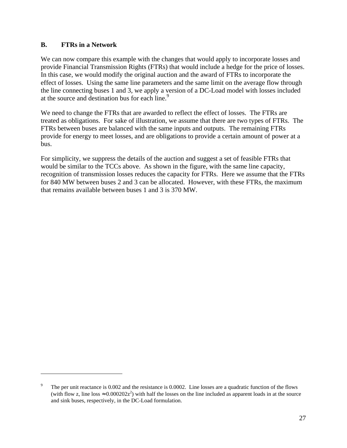#### **B. FTRs in a Network**

 $\overline{a}$ 

We can now compare this example with the changes that would apply to incorporate losses and provide Financial Transmission Rights (FTRs) that would include a hedge for the price of losses. In this case, we would modify the original auction and the award of FTRs to incorporate the effect of losses. Using the same line parameters and the same limit on the average flow through the line connecting buses 1 and 3, we apply a version of a DC-Load model with losses included at the source and destination bus for each line.<sup>9</sup>

We need to change the FTRs that are awarded to reflect the effect of losses. The FTRs are treated as obligations. For sake of illustration, we assume that there are two types of FTRs. The FTRs between buses are balanced with the same inputs and outputs. The remaining FTRs provide for energy to meet losses, and are obligations to provide a certain amount of power at a bus.

For simplicity, we suppress the details of the auction and suggest a set of feasible FTRs that would be similar to the TCCs above. As shown in the figure, with the same line capacity, recognition of transmission losses reduces the capacity for FTRs. Here we assume that the FTRs for 840 MW between buses 2 and 3 can be allocated. However, with these FTRs, the maximum that remains available between buses 1 and 3 is 370 MW.

The per unit reactance is 0.002 and the resistance is 0.0002. Line losses are a quadratic function of the flows (with flow z, line loss  $\approx 0.000202z^2$ ) with half the losses on the line included as apparent loads in at the source and sink buses, respectively, in the DC-Load formulation.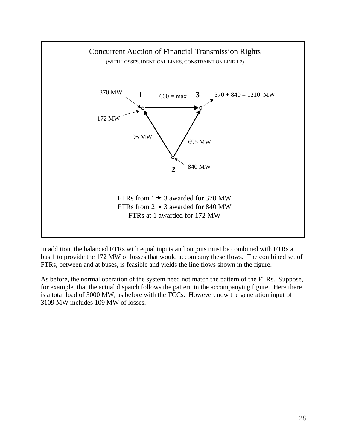

In addition, the balanced FTRs with equal inputs and outputs must be combined with FTRs at bus 1 to provide the 172 MW of losses that would accompany these flows. The combined set of FTRs, between and at buses, is feasible and yields the line flows shown in the figure.

As before, the normal operation of the system need not match the pattern of the FTRs. Suppose, for example, that the actual dispatch follows the pattern in the accompanying figure. Here there is a total load of 3000 MW, as before with the TCCs. However, now the generation input of 3109 MW includes 109 MW of losses.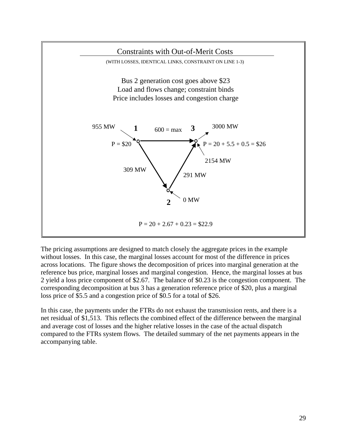

The pricing assumptions are designed to match closely the aggregate prices in the example without losses. In this case, the marginal losses account for most of the difference in prices across locations. The figure shows the decomposition of prices into marginal generation at the reference bus price, marginal losses and marginal congestion. Hence, the marginal losses at bus 2 yield a loss price component of \$2.67. The balance of \$0.23 is the congestion component. The corresponding decomposition at bus 3 has a generation reference price of \$20, plus a marginal loss price of \$5.5 and a congestion price of \$0.5 for a total of \$26.

In this case, the payments under the FTRs do not exhaust the transmission rents, and there is a net residual of \$1,513. This reflects the combined effect of the difference between the marginal and average cost of losses and the higher relative losses in the case of the actual dispatch compared to the FTRs system flows. The detailed summary of the net payments appears in the accompanying table.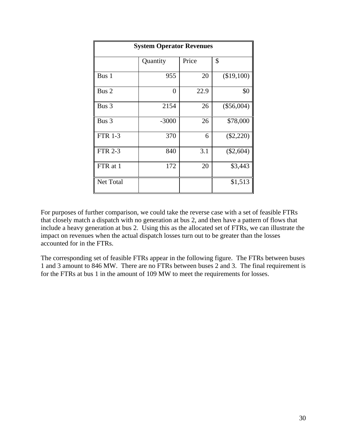| <b>System Operator Revenues</b> |          |       |              |  |  |  |
|---------------------------------|----------|-------|--------------|--|--|--|
|                                 | Quantity | Price | \$           |  |  |  |
| Bus 1                           | 955      | 20    | (\$19,100)   |  |  |  |
| Bus 2                           | 0        | 22.9  | \$0          |  |  |  |
| Bus 3                           | 2154     | 26    | $(\$56,004)$ |  |  |  |
| Bus 3                           | $-3000$  | 26    | \$78,000     |  |  |  |
| <b>FTR 1-3</b>                  | 370      | 6     | $(\$2,220)$  |  |  |  |
| <b>FTR 2-3</b>                  | 840      | 3.1   | $(\$2,604)$  |  |  |  |
| FTR at 1                        | 172      | 20    | \$3,443      |  |  |  |
| Net Total                       |          |       | \$1,513      |  |  |  |

For purposes of further comparison, we could take the reverse case with a set of feasible FTRs that closely match a dispatch with no generation at bus 2, and then have a pattern of flows that include a heavy generation at bus 2. Using this as the allocated set of FTRs, we can illustrate the impact on revenues when the actual dispatch losses turn out to be greater than the losses accounted for in the FTRs.

The corresponding set of feasible FTRs appear in the following figure. The FTRs between buses 1 and 3 amount to 846 MW. There are no FTRs between buses 2 and 3. The final requirement is for the FTRs at bus 1 in the amount of 109 MW to meet the requirements for losses.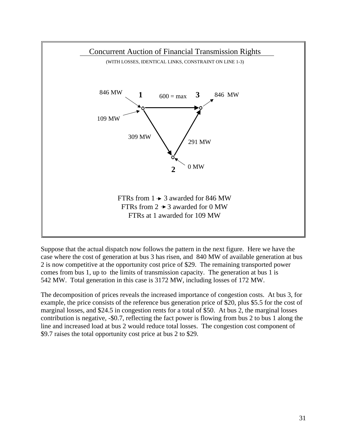

Suppose that the actual dispatch now follows the pattern in the next figure. Here we have the case where the cost of generation at bus 3 has risen, and 840 MW of available generation at bus 2 is now competitive at the opportunity cost price of \$29. The remaining transported power comes from bus 1, up to the limits of transmission capacity. The generation at bus 1 is 542 MW. Total generation in this case is 3172 MW, including losses of 172 MW.

The decomposition of prices reveals the increased importance of congestion costs. At bus 3, for example, the price consists of the reference bus generation price of \$20, plus \$5.5 for the cost of marginal losses, and \$24.5 in congestion rents for a total of \$50. At bus 2, the marginal losses contribution is negative, -\$0.7, reflecting the fact power is flowing from bus 2 to bus 1 along the line and increased load at bus 2 would reduce total losses. The congestion cost component of \$9.7 raises the total opportunity cost price at bus 2 to \$29.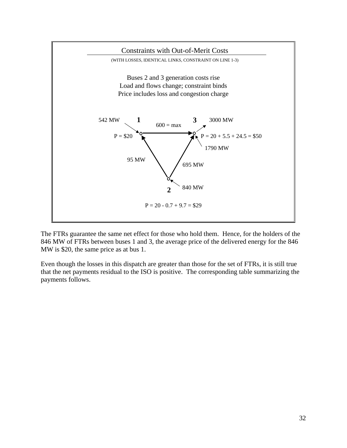

The FTRs guarantee the same net effect for those who hold them. Hence, for the holders of the 846 MW of FTRs between buses 1 and 3, the average price of the delivered energy for the 846 MW is \$20, the same price as at bus 1.

Even though the losses in this dispatch are greater than those for the set of FTRs, it is still true that the net payments residual to the ISO is positive. The corresponding table summarizing the payments follows.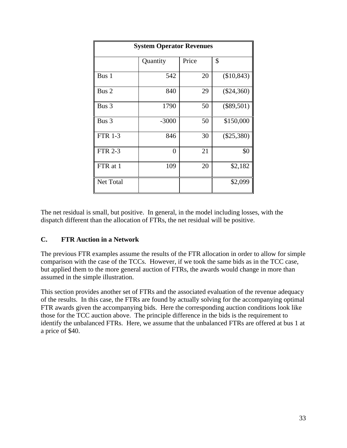| <b>System Operator Revenues</b> |                |       |              |  |  |  |
|---------------------------------|----------------|-------|--------------|--|--|--|
|                                 | Quantity       | Price | \$           |  |  |  |
| Bus 1                           | 542            | 20    | (\$10,843)   |  |  |  |
| Bus 2                           | 840            | 29    | $(\$24,360)$ |  |  |  |
| Bus 3                           | 1790           | 50    | $(\$89,501)$ |  |  |  |
| Bus 3                           | $-3000$        | 50    | \$150,000    |  |  |  |
| <b>FTR 1-3</b>                  | 846            | 30    | $(\$25,380)$ |  |  |  |
| <b>FTR 2-3</b>                  | $\overline{0}$ | 21    | \$0          |  |  |  |
| FTR at 1                        | 109            | 20    | \$2,182      |  |  |  |
| Net Total                       |                |       | \$2,099      |  |  |  |

The net residual is small, but positive. In general, in the model including losses, with the dispatch different than the allocation of FTRs, the net residual will be positive.

#### **C. FTR Auction in a Network**

The previous FTR examples assume the results of the FTR allocation in order to allow for simple comparison with the case of the TCCs. However, if we took the same bids as in the TCC case, but applied them to the more general auction of FTRs, the awards would change in more than assumed in the simple illustration.

This section provides another set of FTRs and the associated evaluation of the revenue adequacy of the results. In this case, the FTRs are found by actually solving for the accompanying optimal FTR awards given the accompanying bids. Here the corresponding auction conditions look like those for the TCC auction above. The principle difference in the bids is the requirement to identify the unbalanced FTRs. Here, we assume that the unbalanced FTRs are offered at bus 1 at a price of \$40.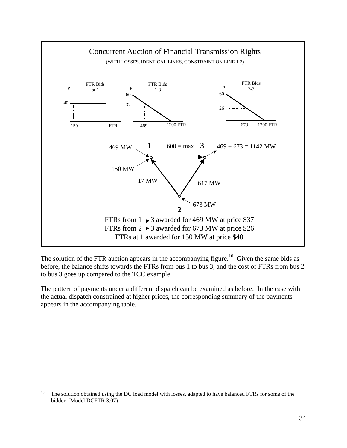![](_page_35_Figure_0.jpeg)

The solution of the FTR auction appears in the accompanying figure.<sup>10</sup> Given the same bids as before, the balance shifts towards the FTRs from bus 1 to bus 3, and the cost of FTRs from bus 2 to bus 3 goes up compared to the TCC example.

The pattern of payments under a different dispatch can be examined as before. In the case with the actual dispatch constrained at higher prices, the corresponding summary of the payments appears in the accompanying table.

 $\overline{a}$ 

<sup>&</sup>lt;sup>10</sup> The solution obtained using the DC load model with losses, adapted to have balanced FTRs for some of the bidder. (Model DCFTR 3.07)